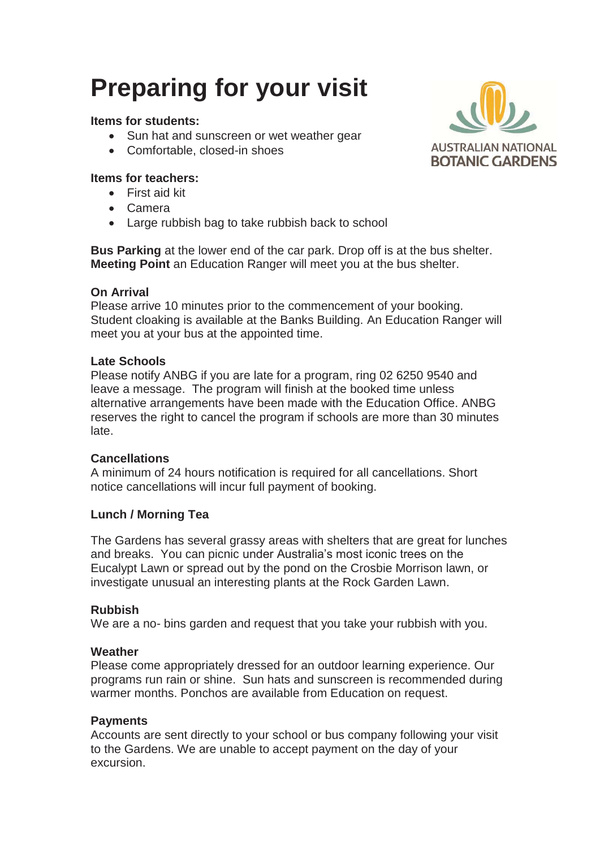# **Preparing for your visit**

# **Items for students:**

- Sun hat and sunscreen or wet weather gear
- Comfortable, closed-in shoes

# **Items for teachers:**

- $\bullet$  First aid kit
- Camera
- Large rubbish bag to take rubbish back to school

**Bus Parking** at the lower end of the car park. Drop off is at the bus shelter. **Meeting Point** an Education Ranger will meet you at the bus shelter.

## **On Arrival**

Please arrive 10 minutes prior to the commencement of your booking. Student cloaking is available at the Banks Building. An Education Ranger will meet you at your bus at the appointed time.

## **Late Schools**

Please notify ANBG if you are late for a program, ring 02 6250 9540 and leave a message. The program will finish at the booked time unless alternative arrangements have been made with the Education Office. ANBG reserves the right to cancel the program if schools are more than 30 minutes late.

## **Cancellations**

A minimum of 24 hours notification is required for all cancellations. Short notice cancellations will incur full payment of booking.

# **Lunch / Morning Tea**

The Gardens has several grassy areas with shelters that are great for lunches and breaks. You can picnic under Australia's most iconic trees on the Eucalypt Lawn or spread out by the pond on the Crosbie Morrison lawn, or investigate unusual an interesting plants at the Rock Garden Lawn.

## **Rubbish**

We are a no- bins garden and request that you take your rubbish with you.

## **Weather**

Please come appropriately dressed for an outdoor learning experience. Our programs run rain or shine. Sun hats and sunscreen is recommended during warmer months. Ponchos are available from Education on request.

## **Payments**

Accounts are sent directly to your school or bus company following your visit to the Gardens. We are unable to accept payment on the day of your excursion.